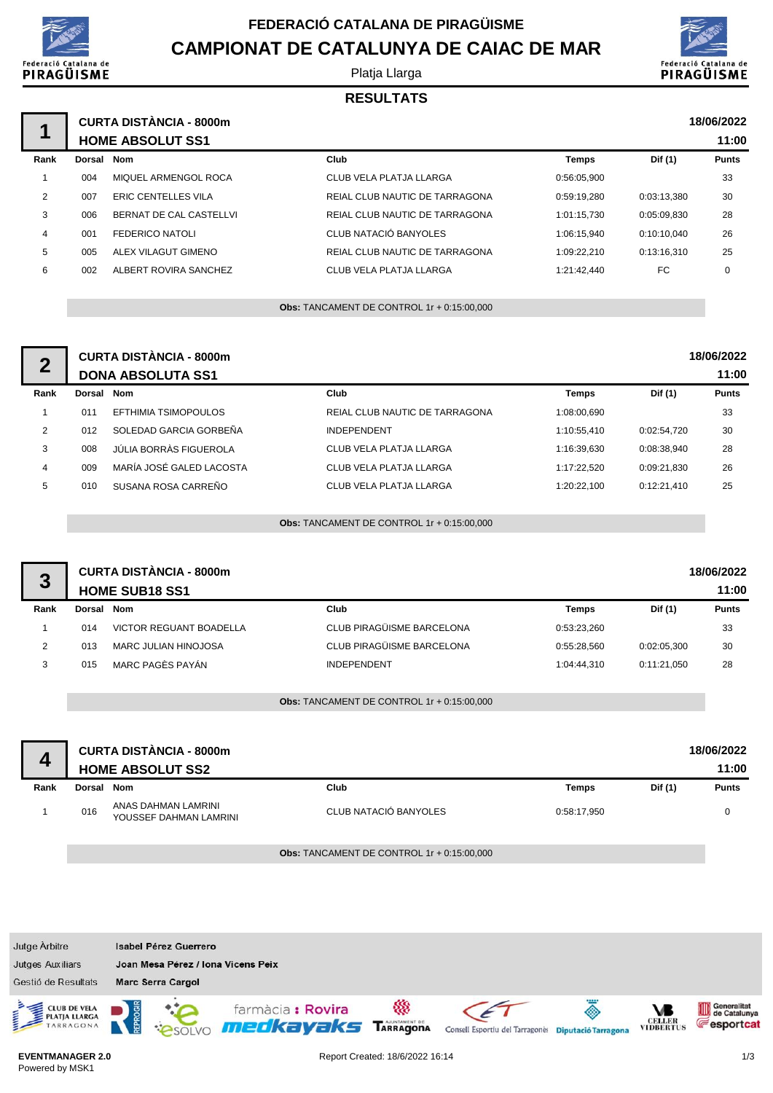

# **FEDERACIÓ CATALANA DE PIRAGÜISME CAMPIONAT DE CATALUNYA DE CAIAC DE MAR**

#### Platja Llarga



#### **RESULTATS**

|      |            | <b>CURTA DISTÀNCIA - 8000m</b><br><b>HOME ABSOLUT SS1</b> |                                |             |             | 18/06/2022<br>11:00 |
|------|------------|-----------------------------------------------------------|--------------------------------|-------------|-------------|---------------------|
| Rank | Dorsal Nom |                                                           | Club                           | Temps       | Dif (1)     | <b>Punts</b>        |
|      | 004        | MIQUEL ARMENGOL ROCA                                      | CLUB VELA PLATJA LLARGA        | 0:56:05.900 |             | 33                  |
| 2    | 007        | <b>ERIC CENTELLES VILA</b>                                | REIAL CLUB NAUTIC DE TARRAGONA | 0:59:19.280 | 0:03:13.380 | 30                  |
| 3    | 006        | BERNAT DE CAL CASTELLVI                                   | REIAL CLUB NAUTIC DE TARRAGONA | 1:01:15.730 | 0:05:09.830 | 28                  |
| 4    | 001        | <b>FEDERICO NATOLI</b>                                    | CLUB NATACIÓ BANYOLES          | 1:06:15.940 | 0:10:10.040 | 26                  |
| 5    | 005        | ALEX VILAGUT GIMENO                                       | REIAL CLUB NAUTIC DE TARRAGONA | 1:09:22.210 | 0:13:16.310 | 25                  |
| 6    | 002        | ALBERT ROVIRA SANCHEZ                                     | CLUB VELA PLATJA LLARGA        | 1:21:42.440 | FC          | 0                   |
|      |            |                                                           |                                |             |             |                     |

**Obs:** TANCAMENT DE CONTROL 1r + 0:15:00,000

| $\mathbf 2$ |        | <b>CURTA DISTÀNCIA - 8000m</b><br><b>DONA ABSOLUTA SS1</b> |                                |             |             | 18/06/2022<br>11:00 |
|-------------|--------|------------------------------------------------------------|--------------------------------|-------------|-------------|---------------------|
| Rank        | Dorsal | Nom                                                        | Club                           | Temps       | Dif (1)     | <b>Punts</b>        |
|             | 011    | EFTHIMIA TSIMOPOULOS                                       | REIAL CLUB NAUTIC DE TARRAGONA | 1:08:00.690 |             | 33                  |
| 2           | 012    | SOLEDAD GARCIA GORBEÑA                                     | <b>INDEPENDENT</b>             | 1:10:55.410 | 0:02:54.720 | 30                  |
| 3           | 008    | JÚLIA BORRÀS FIGUEROLA                                     | <b>CLUB VELA PLATJA LLARGA</b> | 1:16:39.630 | 0:08:38.940 | 28                  |
| 4           | 009    | MARÍA JOSÉ GALED LACOSTA                                   | CLUB VELA PLATJA LLARGA        | 1:17:22.520 | 0:09:21.830 | 26                  |
| 5           | 010    | SUSANA ROSA CARREÑO                                        | CLUB VELA PLATJA LLARGA        | 1:20:22.100 | 0:12:21.410 | 25                  |

**Obs:** TANCAMENT DE CONTROL 1r + 0:15:00,000

| 3              |        | <b>CURTA DISTÀNCIA - 8000m</b><br><b>HOME SUB18 SS1</b> |                           |              |             | 18/06/2022<br>11:00 |
|----------------|--------|---------------------------------------------------------|---------------------------|--------------|-------------|---------------------|
| Rank           | Dorsal | Nom                                                     | Club                      | <b>Temps</b> | Dif (1)     | <b>Punts</b>        |
|                | 014    | VICTOR REGUANT BOADELLA                                 | CLUB PIRAGÜISME BARCELONA | 0:53:23.260  |             | 33                  |
| $\overline{2}$ | 013    | <b>MARC JULIAN HINOJOSA</b>                             | CLUB PIRAGÜISME BARCELONA | 0:55:28.560  | 0:02:05,300 | 30                  |
| 3              | 015    | MARC PAGÈS PAYÁN                                        | <b>INDEPENDENT</b>        | 1:04:44.310  | 0:11:21.050 | 28                  |
|                |        |                                                         |                           |              |             |                     |

**Obs:** TANCAMENT DE CONTROL 1r + 0:15:00,000

|      |        | <b>CURTA DISTÀNCIA - 8000m</b><br><b>HOME ABSOLUT SS2</b> |                       |             |         | 18/06/2022<br>11:00 |
|------|--------|-----------------------------------------------------------|-----------------------|-------------|---------|---------------------|
| Rank | Dorsal | Nom                                                       | Club                  | Temps       | Dif (1) | <b>Punts</b>        |
|      | 016    | ANAS DAHMAN LAMRINI<br>YOUSSEF DAHMAN LAMRINI             | CLUB NATACIÓ BANYOLES | 0:58:17,950 |         | $\Omega$            |

**Obs:** TANCAMENT DE CONTROL 1r + 0:15:00,000



#### **EVENTMANAGER 2.0** Powered by MSK1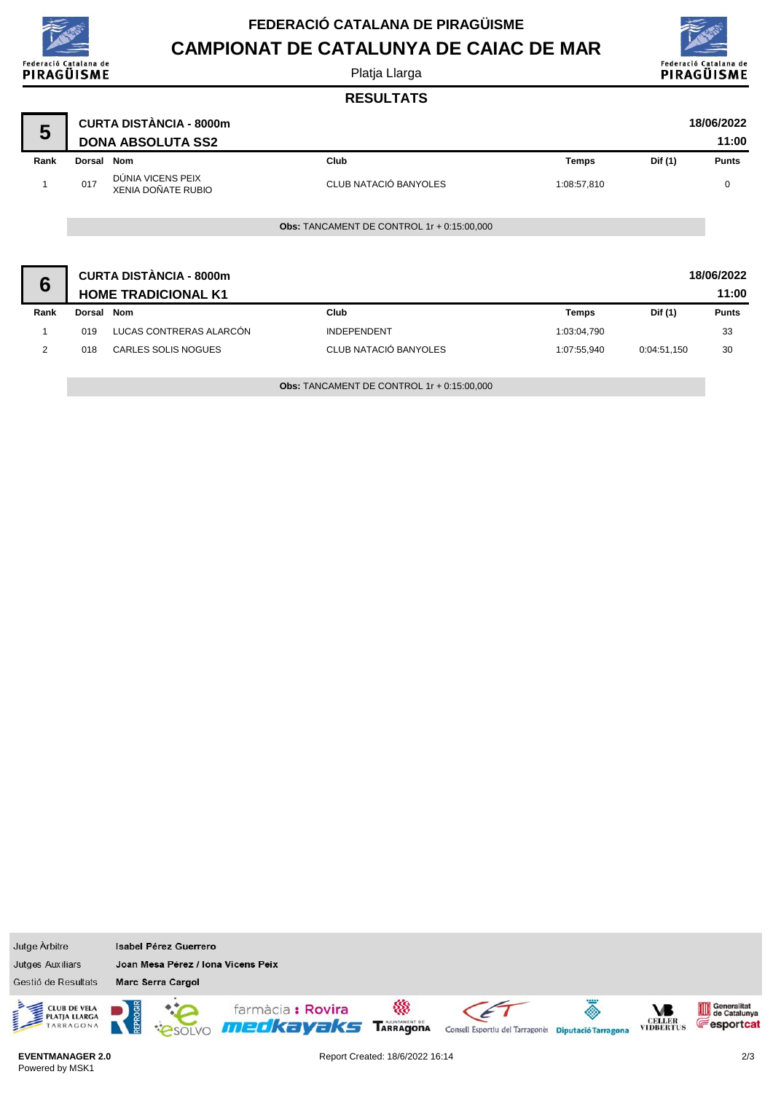| Federació Catalana de<br>PIRAGÜISME |
|-------------------------------------|

Powered by MSK1

# **FEDERACIÓ CATALANA DE PIRAGÜISME CAMPIONAT DE CATALUNYA DE CAIAC DE MAR**

Platja Llarga



## **RESULTATS**

| 5    |               | <b>CURTA DISTÀNCIA - 8000m</b><br><b>DONA ABSOLUTA SS2</b>   |                                                   |              |             | 18/06/2022<br>11:00 |
|------|---------------|--------------------------------------------------------------|---------------------------------------------------|--------------|-------------|---------------------|
| Rank | Dorsal Nom    |                                                              | Club                                              | <b>Temps</b> | Dif (1)     | <b>Punts</b>        |
| 1    | 017           | DÚNIA VICENS PEIX<br>XENIA DOÑATE RUBIO                      | CLUB NATACIÓ BANYOLES                             | 1:08:57,810  |             | 0                   |
|      |               |                                                              | <b>Obs: TANCAMENT DE CONTROL 1r + 0:15:00,000</b> |              |             |                     |
| 6    |               | <b>CURTA DISTÀNCIA - 8000m</b><br><b>HOME TRADICIONAL K1</b> |                                                   |              |             | 18/06/2022<br>11:00 |
| Rank | <b>Dorsal</b> | <b>Nom</b>                                                   | Club                                              | <b>Temps</b> | Dif (1)     | <b>Punts</b>        |
|      | 019           | LUCAS CONTRERAS ALARCÓN                                      | <b>INDEPENDENT</b>                                | 1:03:04,790  |             | 33                  |
| 2    | 018           | <b>CARLES SOLIS NOGUES</b>                                   | CLUB NATACIÓ BANYOLES                             | 1:07:55,940  | 0:04:51,150 | 30                  |

**Obs:** TANCAMENT DE CONTROL 1r + 0:15:00,000